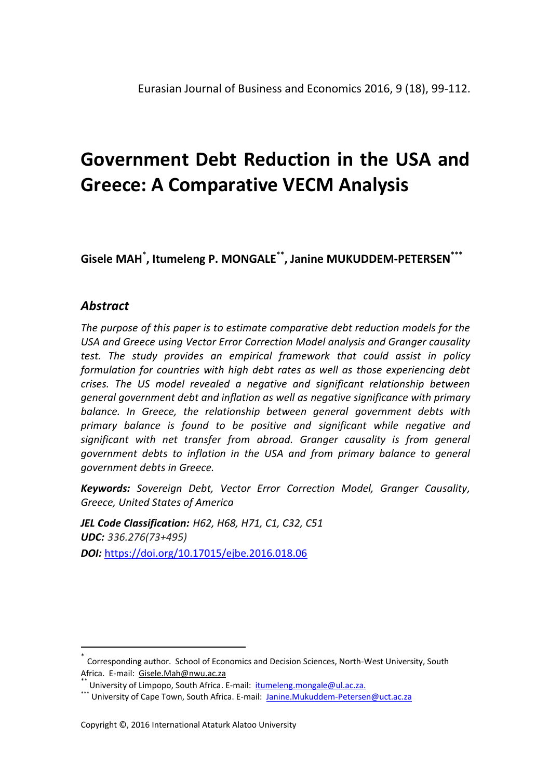**Gisele MAH\* , Itumeleng P. MONGALE\*\* , Janine MUKUDDEM-PETERSEN\*\*\***

# *Abstract*

 $\overline{\phantom{a}}$ 

*The purpose of this paper is to estimate comparative debt reduction models for the USA and Greece using Vector Error Correction Model analysis and Granger causality test. The study provides an empirical framework that could assist in policy formulation for countries with high debt rates as well as those experiencing debt crises. The US model revealed a negative and significant relationship between general government debt and inflation as well as negative significance with primary balance. In Greece, the relationship between general government debts with primary balance is found to be positive and significant while negative and significant with net transfer from abroad. Granger causality is from general government debts to inflation in the USA and from primary balance to general government debts in Greece.* 

*Keywords: Sovereign Debt, Vector Error Correction Model, Granger Causality, Greece, United States of America*

*JEL Code Classification: H62, H68, H71, C1, C32, C51 UDC: 336.276(73+495) DOI:* <https://doi.org/10.17015/ejbe.2016.018.06>

<sup>\*</sup> Corresponding author. School of Economics and Decision Sciences, North-West University, South Africa. E-mail: Gisele.Mah@nwu.ac.za

University of Limpopo, South Africa. E-mail: [itumeleng.mongale@ul.ac.za.](mailto:itumeleng.mongale@ul.ac.za)

<sup>\*\*\*</sup> University of Cape Town, South Africa. E-mail: [Janine.Mukuddem-Petersen@uct.ac.za](mailto:Janine.Mukuddem-Petersen@uct.ac.za)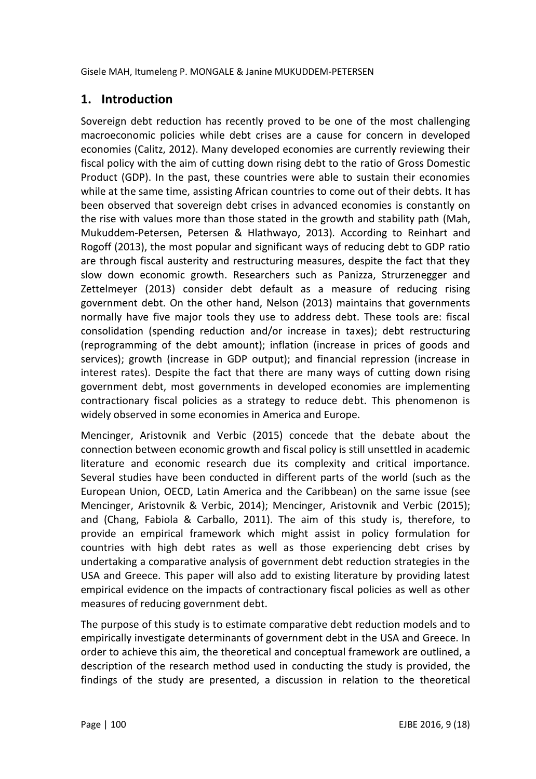# **1. Introduction**

Sovereign debt reduction has recently proved to be one of the most challenging macroeconomic policies while debt crises are a cause for concern in developed economies (Calitz, 2012). Many developed economies are currently reviewing their fiscal policy with the aim of cutting down rising debt to the ratio of Gross Domestic Product (GDP). In the past, these countries were able to sustain their economies while at the same time, assisting African countries to come out of their debts. It has been observed that sovereign debt crises in advanced economies is constantly on the rise with values more than those stated in the growth and stability path (Mah, Mukuddem-Petersen, Petersen & Hlathwayo, 2013)*.* According to Reinhart and Rogoff (2013), the most popular and significant ways of reducing debt to GDP ratio are through fiscal austerity and restructuring measures, despite the fact that they slow down economic growth. Researchers such as Panizza, Strurzenegger and Zettelmeyer (2013) consider debt default as a measure of reducing rising government debt. On the other hand, Nelson (2013) maintains that governments normally have five major tools they use to address debt. These tools are: fiscal consolidation (spending reduction and/or increase in taxes); debt restructuring (reprogramming of the debt amount); inflation (increase in prices of goods and services); growth (increase in GDP output); and financial repression (increase in interest rates). Despite the fact that there are many ways of cutting down rising government debt, most governments in developed economies are implementing contractionary fiscal policies as a strategy to reduce debt. This phenomenon is widely observed in some economies in America and Europe.

Mencinger, Aristovnik and Verbic (2015) concede that the debate about the connection between economic growth and fiscal policy is still unsettled in academic literature and economic research due its complexity and critical importance. Several studies have been conducted in different parts of the world (such as the European Union, OECD, Latin America and the Caribbean) on the same issue (see Mencinger, Aristovnik & Verbic, 2014); Mencinger, Aristovnik and Verbic (2015); and (Chang, Fabiola & Carballo, 2011). The aim of this study is, therefore, to provide an empirical framework which might assist in policy formulation for countries with high debt rates as well as those experiencing debt crises by undertaking a comparative analysis of government debt reduction strategies in the USA and Greece. This paper will also add to existing literature by providing latest empirical evidence on the impacts of contractionary fiscal policies as well as other measures of reducing government debt.

The purpose of this study is to estimate comparative debt reduction models and to empirically investigate determinants of government debt in the USA and Greece. In order to achieve this aim, the theoretical and conceptual framework are outlined, a description of the research method used in conducting the study is provided, the findings of the study are presented, a discussion in relation to the theoretical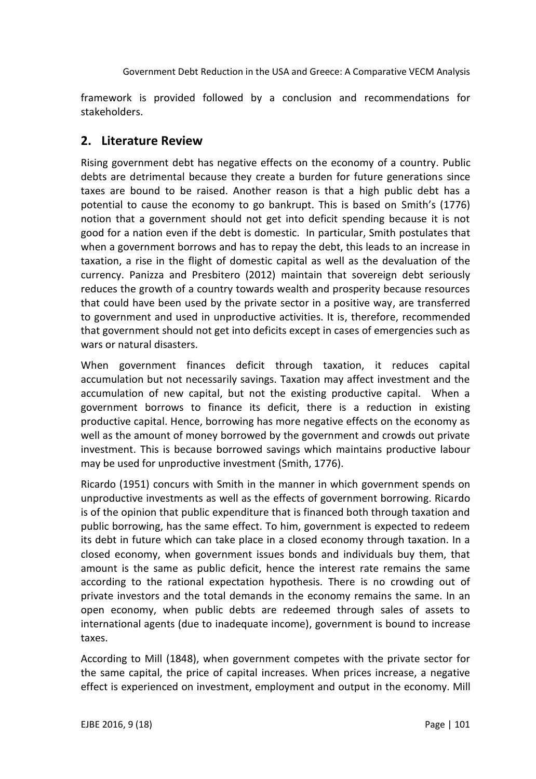framework is provided followed by a conclusion and recommendations for stakeholders.

# **2. Literature Review**

Rising government debt has negative effects on the economy of a country. Public debts are detrimental because they create a burden for future generations since taxes are bound to be raised. Another reason is that a high public debt has a potential to cause the economy to go bankrupt. This is based on Smith's (1776) notion that a government should not get into deficit spending because it is not good for a nation even if the debt is domestic. In particular, Smith postulates that when a government borrows and has to repay the debt, this leads to an increase in taxation, a rise in the flight of domestic capital as well as the devaluation of the currency. Panizza and Presbitero (2012) maintain that sovereign debt seriously reduces the growth of a country towards wealth and prosperity because resources that could have been used by the private sector in a positive way, are transferred to government and used in unproductive activities. It is, therefore, recommended that government should not get into deficits except in cases of emergencies such as wars or natural disasters.

When government finances deficit through taxation, it reduces capital accumulation but not necessarily savings. Taxation may affect investment and the accumulation of new capital, but not the existing productive capital. When a government borrows to finance its deficit, there is a reduction in existing productive capital. Hence, borrowing has more negative effects on the economy as well as the amount of money borrowed by the government and crowds out private investment. This is because borrowed savings which maintains productive labour may be used for unproductive investment (Smith, 1776).

Ricardo (1951) concurs with Smith in the manner in which government spends on unproductive investments as well as the effects of government borrowing. Ricardo is of the opinion that public expenditure that is financed both through taxation and public borrowing, has the same effect. To him, government is expected to redeem its debt in future which can take place in a closed economy through taxation. In a closed economy, when government issues bonds and individuals buy them, that amount is the same as public deficit, hence the interest rate remains the same according to the rational expectation hypothesis. There is no crowding out of private investors and the total demands in the economy remains the same. In an open economy, when public debts are redeemed through sales of assets to international agents (due to inadequate income), government is bound to increase taxes.

According to Mill (1848), when government competes with the private sector for the same capital, the price of capital increases. When prices increase, a negative effect is experienced on investment, employment and output in the economy. Mill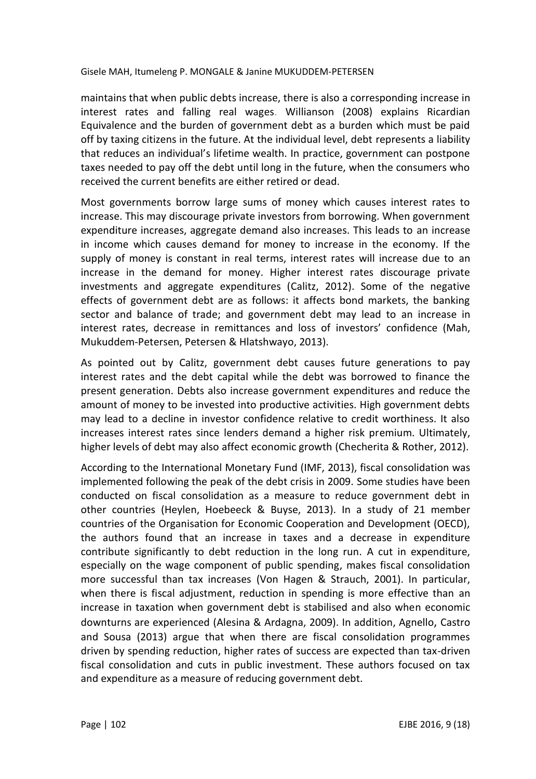maintains that when public debts increase, there is also a corresponding increase in interest rates and falling real wages. Willianson (2008) explains Ricardian Equivalence and the burden of government debt as a burden which must be paid off by taxing citizens in the future. At the individual level, debt represents a liability that reduces an individual's lifetime wealth. In practice, government can postpone taxes needed to pay off the debt until long in the future, when the consumers who received the current benefits are either retired or dead.

Most governments borrow large sums of money which causes interest rates to increase. This may discourage private investors from borrowing. When government expenditure increases, aggregate demand also increases. This leads to an increase in income which causes demand for money to increase in the economy. If the supply of money is constant in real terms, interest rates will increase due to an increase in the demand for money. Higher interest rates discourage private investments and aggregate expenditures (Calitz, 2012). Some of the negative effects of government debt are as follows: it affects bond markets, the banking sector and balance of trade; and government debt may lead to an increase in interest rates, decrease in remittances and loss of investors' confidence (Mah, Mukuddem-Petersen, Petersen & Hlatshwayo, 2013).

As pointed out by Calitz, government debt causes future generations to pay interest rates and the debt capital while the debt was borrowed to finance the present generation. Debts also increase government expenditures and reduce the amount of money to be invested into productive activities. High government debts may lead to a decline in investor confidence relative to credit worthiness. It also increases interest rates since lenders demand a higher risk premium. Ultimately, higher levels of debt may also affect economic growth (Checherita & Rother, 2012).

According to the International Monetary Fund (IMF, 2013), fiscal consolidation was implemented following the peak of the debt crisis in 2009. Some studies have been conducted on fiscal consolidation as a measure to reduce government debt in other countries (Heylen, Hoebeeck & Buyse, 2013). In a study of 21 member countries of the Organisation for Economic Cooperation and Development (OECD), the authors found that an increase in taxes and a decrease in expenditure contribute significantly to debt reduction in the long run. A cut in expenditure, especially on the wage component of public spending, makes fiscal consolidation more successful than tax increases (Von Hagen & Strauch, 2001). In particular, when there is fiscal adjustment, reduction in spending is more effective than an increase in taxation when government debt is stabilised and also when economic downturns are experienced (Alesina & Ardagna, 2009). In addition, Agnello, Castro and Sousa (2013) argue that when there are fiscal consolidation programmes driven by spending reduction, higher rates of success are expected than tax-driven fiscal consolidation and cuts in public investment. These authors focused on tax and expenditure as a measure of reducing government debt.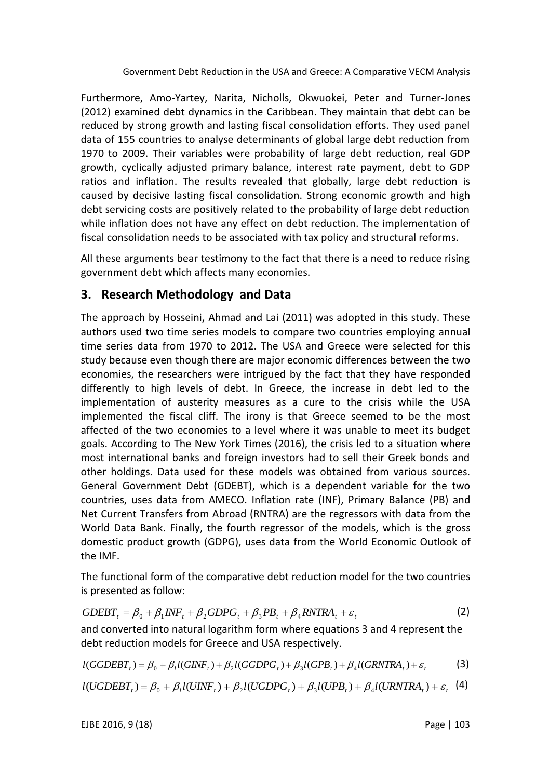Furthermore, Amo-Yartey, Narita, Nicholls, Okwuokei, Peter and Turner-Jones (2012) examined debt dynamics in the Caribbean. They maintain that debt can be reduced by strong growth and lasting fiscal consolidation efforts. They used panel data of 155 countries to analyse determinants of global large debt reduction from 1970 to 2009. Their variables were probability of large debt reduction, real GDP growth, cyclically adjusted primary balance, interest rate payment, debt to GDP ratios and inflation. The results revealed that globally, large debt reduction is caused by decisive lasting fiscal consolidation. Strong economic growth and high debt servicing costs are positively related to the probability of large debt reduction while inflation does not have any effect on debt reduction. The implementation of fiscal consolidation needs to be associated with tax policy and structural reforms.

All these arguments bear testimony to the fact that there is a need to reduce rising government debt which affects many economies.

# **3. Research Methodology and Data**

The approach by Hosseini, Ahmad and Lai (2011) was adopted in this study. These authors used two time series models to compare two countries employing annual time series data from 1970 to 2012. The USA and Greece were selected for this study because even though there are major economic differences between the two economies, the researchers were intrigued by the fact that they have responded differently to high levels of debt. In Greece, the increase in debt led to the implementation of austerity measures as a cure to the crisis while the USA implemented the fiscal cliff. The irony is that Greece seemed to be the most affected of the two economies to a level where it was unable to meet its budget goals. According to The New York Times (2016), the crisis led to a situation where most international banks and foreign investors had to sell their Greek bonds and other holdings. Data used for these models was obtained from various sources. General Government Debt (GDEBT), which is a dependent variable for the two countries, uses data from AMECO. Inflation rate (INF), Primary Balance (PB) and Net Current Transfers from Abroad (RNTRA) are the regressors with data from the World Data Bank. Finally, the fourth regressor of the models, which is the gross domestic product growth (GDPG), uses data from the World Economic Outlook of the IMF.

The functional form of the comparative debt reduction model for the two countries is presented as follow:

$$
GDEBT_t = \beta_0 + \beta_1 INF_t + \beta_2 GDPG_t + \beta_3 PB_t + \beta_4 RNTRA_t + \varepsilon_t
$$
\n(2)

and converted into natural logarithm form where equations 3 and 4 represent the debt reduction models for Greece and USA respectively.

$$
l(GGDEBT_t) = \beta_0 + \beta_1 l(GINF_t) + \beta_2 l(GGDPG_t) + \beta_3 l(GPB_t) + \beta_4 l(GRNTRA_t) + \varepsilon_t
$$
\n(3)

$$
l(UGDEBT_{i}) = \beta_0 + \beta_1 l(UINF_{i}) + \beta_2 l(UGDPG_{i}) + \beta_3 l(UPB_{i}) + \beta_4 l(URNTRA_{i}) + \varepsilon_i
$$
 (4)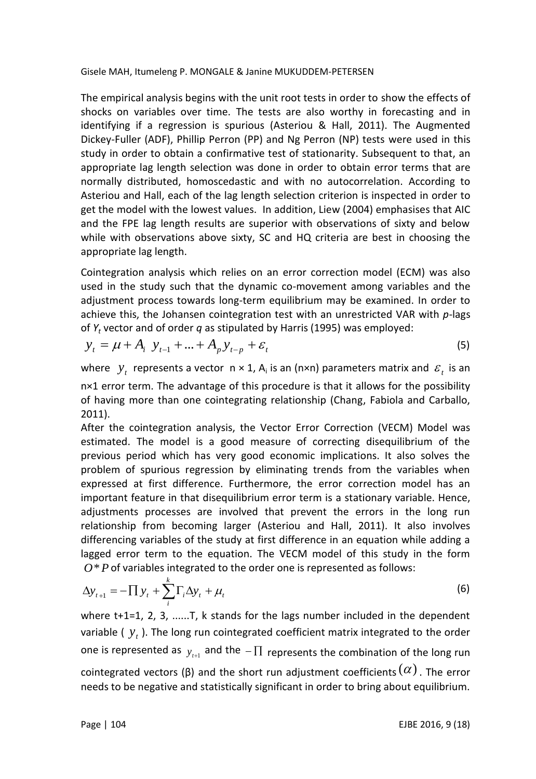The empirical analysis begins with the unit root tests in order to show the effects of shocks on variables over time. The tests are also worthy in forecasting and in identifying if a regression is spurious (Asteriou & Hall, 2011). The Augmented Dickey-Fuller (ADF), Phillip Perron (PP) and Ng Perron (NP) tests were used in this study in order to obtain a confirmative test of stationarity. Subsequent to that, an appropriate lag length selection was done in order to obtain error terms that are normally distributed, homoscedastic and with no autocorrelation. According to Asteriou and Hall, each of the lag length selection criterion is inspected in order to get the model with the lowest values. In addition, Liew (2004) emphasises that AIC and the FPE lag length results are superior with observations of sixty and below while with observations above sixty, SC and HQ criteria are best in choosing the appropriate lag length.

Cointegration analysis which relies on an error correction model (ECM) was also used in the study such that the dynamic co-movement among variables and the adjustment process towards long-term equilibrium may be examined. In order to achieve this, the Johansen cointegration test with an unrestricted VAR with *p*-lags of *Y<sup>t</sup>* vector and of order *q* as stipulated by Harris (1995) was employed:

$$
y_t = \mu + A_i \ y_{t-1} + ... + A_p y_{t-p} + \varepsilon_t \tag{5}
$$

where  $y_t$  represents a vector  $n \times 1$ ,  $A_i$  is an (n×n) parameters matrix and  $\mathcal{E}_t$  is an n×1 error term. The advantage of this procedure is that it allows for the possibility of having more than one cointegrating relationship (Chang, Fabiola and Carballo, 2011).

After the cointegration analysis, the Vector Error Correction (VECM) Model was estimated. The model is a good measure of correcting disequilibrium of the previous period which has very good economic implications. It also solves the problem of spurious regression by eliminating trends from the variables when expressed at first difference. Furthermore, the error correction model has an important feature in that disequilibrium error term is a stationary variable. Hence, adjustments processes are involved that prevent the errors in the long run relationship from becoming larger (Asteriou and Hall, 2011). It also involves differencing variables of the study at first difference in an equation while adding a lagged error term to the equation. The VECM model of this study in the form  $O*P$  of variables integrated to the order one is represented as follows:

$$
\Delta y_{t+1} = -\prod y_t + \sum_i^k \Gamma_i \Delta y_t + \mu_t \tag{6}
$$

where t+1=1, 2, 3, ......T, k stands for the lags number included in the dependent variable ( $y_t$ ). The long run cointegrated coefficient matrix integrated to the order one is represented as  $y_{_{f+1}}$  and the  $-\prod$  represents the combination of the long run cointegrated vectors (β) and the short run adjustment coefficients  $(\alpha)$  . The error needs to be negative and statistically significant in order to bring about equilibrium.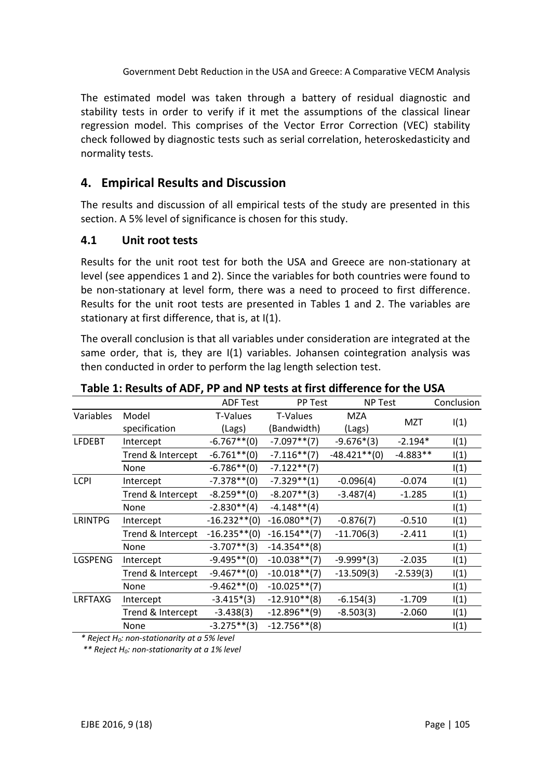The estimated model was taken through a battery of residual diagnostic and stability tests in order to verify if it met the assumptions of the classical linear regression model. This comprises of the Vector Error Correction (VEC) stability check followed by diagnostic tests such as serial correlation, heteroskedasticity and normality tests.

# **4. Empirical Results and Discussion**

The results and discussion of all empirical tests of the study are presented in this section. A 5% level of significance is chosen for this study.

#### **4.1 Unit root tests**

Results for the unit root test for both the USA and Greece are non-stationary at level (see appendices 1 and 2). Since the variables for both countries were found to be non-stationary at level form, there was a need to proceed to first difference. Results for the unit root tests are presented in Tables 1 and 2. The variables are stationary at first difference, that is, at I(1).

The overall conclusion is that all variables under consideration are integrated at the same order, that is, they are I(1) variables. Johansen cointegration analysis was then conducted in order to perform the lag length selection test.

|                |                   | <b>ADF Test</b> | <b>PP Test</b>  | <b>NP Test</b>  |             | Conclusion |
|----------------|-------------------|-----------------|-----------------|-----------------|-------------|------------|
| Variables      | Model             | T-Values        | T-Values        | MZA             |             |            |
|                | specification     | (Lags)          | Bandwidth)      | (Lags)          | MZT         | I(1)       |
| <b>LFDEBT</b>  | Intercept         | $-6.767**$ (0)  | $-7.097**$ (7)  | $-9.676*(3)$    | $-2.194*$   | I(1)       |
|                | Trend & Intercept | $-6.761**$ (0)  | $-7.116**$ (7)  | $-48.421**$ (0) | $-4.883**$  | I(1)       |
|                | None              | $-6.786**$ (0)  | $-7.122**$ (7)  |                 |             | I(1)       |
| <b>LCPI</b>    | Intercept         | $-7.378**$ (0)  | $-7.329**$ (1)  | $-0.096(4)$     | $-0.074$    | I(1)       |
|                | Trend & Intercept | $-8.259**$ (0)  | $-8.207**$ (3)  | $-3.487(4)$     | $-1.285$    | I(1)       |
|                | None              | $-2.830**$ (4)  | $-4.148**$ (4)  |                 |             | I(1)       |
| <b>LRINTPG</b> | Intercept         | $-16.232**$ (0) | $-16.080**$ (7) | $-0.876(7)$     | $-0.510$    | I(1)       |
|                | Trend & Intercept | $-16.235**$ (0) | $-16.154**$ (7) | $-11.706(3)$    | $-2.411$    | I(1)       |
|                | None              | $-3.707**$ (3)  | $-14.354**$ (8) |                 |             | I(1)       |
| LGSPENG        | Intercept         | $-9.495**$ (0)  | $-10.038**$ (7) | $-9.999*(3)$    | $-2.035$    | I(1)       |
|                | Trend & Intercept | $-9.467**$ (0)  | $-10.018**$ (7) | $-13.509(3)$    | $-2.539(3)$ | I(1)       |
|                | None              | $-9.462**$ (0)  | $-10.025**$ (7) |                 |             | I(1)       |
| <b>LRFTAXG</b> | Intercept         | $-3.415*(3)$    | $-12.910**$ (8) | $-6.154(3)$     | $-1.709$    | I(1)       |
|                | Trend & Intercept | $-3.438(3)$     | $-12.896**$ (9) | $-8.503(3)$     | $-2.060$    | I(1)       |
|                | None              | $-3.275**$ (3)  | $-12.756**$ (8) |                 |             | I(1)       |

**Table 1: Results of ADF, PP and NP tests at first difference for the USA**

*\* Reject H0: non-stationarity at a 5% level*

*\*\* Reject H0: non-stationarity at a 1% level*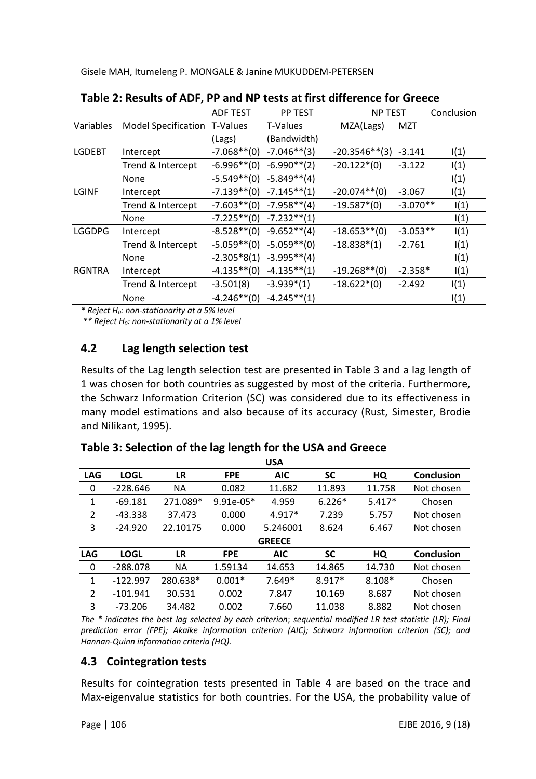| Table 2. Results of ADT, IT and NT tests at mst unicrente for Greece |                              |                 |                |                  |            |            |  |  |
|----------------------------------------------------------------------|------------------------------|-----------------|----------------|------------------|------------|------------|--|--|
|                                                                      |                              | <b>ADF TEST</b> | <b>PP TEST</b> | <b>NP TEST</b>   |            | Conclusion |  |  |
| Variables                                                            | Model Specification T-Values |                 | T-Values       | MZA(Lags)        | MZT        |            |  |  |
|                                                                      |                              | (Lags)          | (Bandwidth)    |                  |            |            |  |  |
| <b>LGDEBT</b>                                                        | Intercept                    | $-7.068**$ (0)  | $-7.046**$ (3) | $-20.3546**$ (3) | $-3.141$   | I(1)       |  |  |
|                                                                      | Trend & Intercept            | $-6.996**$ (0)  | $-6.990**$ (2) | $-20.122*(0)$    | $-3.122$   | I(1)       |  |  |
|                                                                      | None                         | $-5.549**$ (0)  | $-5.849**$ (4) |                  |            | I(1)       |  |  |
| LGINF                                                                | Intercept                    | $-7.139**$ (0)  | $-7.145**$ (1) | $-20.074**$ (0)  | $-3.067$   | I(1)       |  |  |
|                                                                      | Trend & Intercept            | $-7.603**$ (0)  | $-7.958**$ (4) | $-19.587*(0)$    | $-3.070**$ | I(1)       |  |  |
|                                                                      | None                         | $-7.225**$ (0)  | $-7.232**(1)$  |                  |            | I(1)       |  |  |
| <b>LGGDPG</b>                                                        | Intercept                    | $-8.528**$ (0)  | $-9.652**$ (4) | $-18.653**$ (0)  | $-3.053**$ | I(1)       |  |  |
|                                                                      | Trend & Intercept            | $-5.059**$ (0)  | $-5.059**$ (0) | $-18.838*(1)$    | $-2.761$   | I(1)       |  |  |
|                                                                      | None                         | $-2.305*8(1)$   | $-3.995**$ (4) |                  |            | I(1)       |  |  |
| <b>RGNTRA</b>                                                        | Intercept                    | $-4.135**$ (0)  | $-4.135**$ (1) | $-19.268**$ (0)  | $-2.358*$  | I(1)       |  |  |
|                                                                      | Trend & Intercept            | $-3.501(8)$     | $-3.939*(1)$   | $-18.622*(0)$    | $-2.492$   | I(1)       |  |  |
|                                                                      | None                         | $-4.246**$ (0)  | $-4.245**(1)$  |                  |            | I(1)       |  |  |
|                                                                      |                              |                 |                |                  |            |            |  |  |

**Table 2: Results of ADF, PP and NP tests at first difference for Greece**

*\* Reject H0: non-stationarity at a 5% level*

*\*\* Reject H0: non-stationarity at a 1% level* 

## **4.2 Lag length selection test**

Results of the Lag length selection test are presented in Table 3 and a lag length of 1 was chosen for both countries as suggested by most of the criteria. Furthermore, the Schwarz Information Criterion (SC) was considered due to its effectiveness in many model estimations and also because of its accuracy (Rust, Simester, Brodie and Nilikant, 1995).

| <b>USA</b>     |             |           |             |               |          |          |            |  |
|----------------|-------------|-----------|-------------|---------------|----------|----------|------------|--|
| <b>LAG</b>     | <b>LOGL</b> | LR        | <b>FPE</b>  | <b>AIC</b>    | SC       | HQ       | Conclusion |  |
| 0              | $-228.646$  | <b>NA</b> | 0.082       | 11.682        | 11.893   | 11.758   | Not chosen |  |
| 1              | $-69.181$   | 271.089*  | $9.91e-05*$ | 4.959         | $6.226*$ | $5.417*$ | Chosen     |  |
| $\overline{2}$ | $-43.338$   | 37.473    | 0.000       | $4.917*$      | 7.239    | 5.757    | Not chosen |  |
| 3              | $-24.920$   | 22.10175  | 0.000       | 5.246001      | 8.624    | 6.467    | Not chosen |  |
|                |             |           |             | <b>GREECE</b> |          |          |            |  |
| <b>LAG</b>     | <b>LOGL</b> | LR        | <b>FPE</b>  | <b>AIC</b>    | SC       | HQ       | Conclusion |  |
| 0              | $-288.078$  | <b>NA</b> | 1.59134     | 14.653        | 14.865   | 14.730   | Not chosen |  |
| 1              | $-122.997$  | 280.638*  | $0.001*$    | $7.649*$      | 8.917*   | $8.108*$ | Chosen     |  |
| 2              | $-101.941$  | 30.531    | 0.002       | 7.847         | 10.169   | 8.687    | Not chosen |  |
| 3              | $-73.206$   | 34.482    | 0.002       | 7.660         | 11.038   | 8.882    | Not chosen |  |

#### **Table 3: Selection of the lag length for the USA and Greece**

*The \* indicates the best lag selected by each criterion*; *sequential modified LR test statistic (LR); Final prediction error (FPE); Akaike information criterion (AIC); Schwarz information criterion (SC); and Hannan-Quinn information criteria (HQ).*

## **4.3 Cointegration tests**

Results for cointegration tests presented in Table 4 are based on the trace and Max-eigenvalue statistics for both countries. For the USA, the probability value of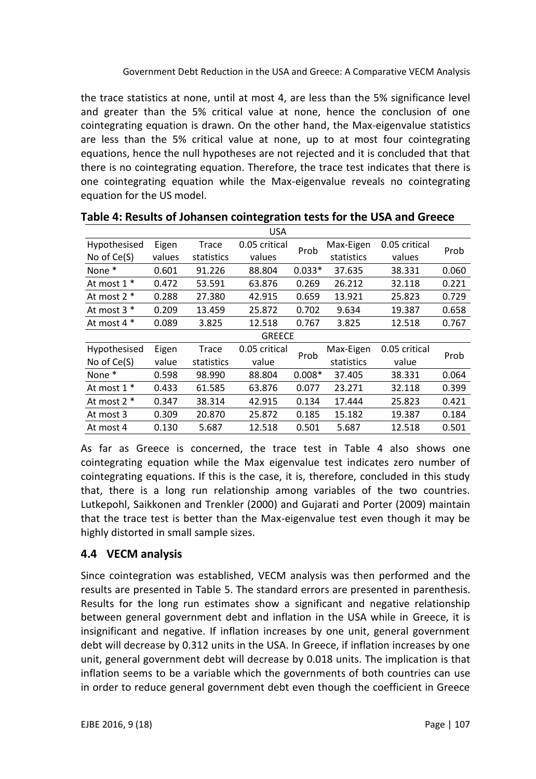the trace statistics at none, until at most 4, are less than the 5% significance level and greater than the 5% critical value at none, hence the conclusion of one cointegrating equation is drawn. On the other hand, the Max-eigenvalue statistics are less than the 5% critical value at none, up to at most four cointegrating equations, hence the null hypotheses are not rejected and it is concluded that that there is no cointegrating equation. Therefore, the trace test indicates that there is one cointegrating equation while the Max-eigenvalue reveals no cointegrating equation for the US model.

|                   |        |            | <b>USA</b>    |          |            |               |       |
|-------------------|--------|------------|---------------|----------|------------|---------------|-------|
| Hypothesised      | Eigen  | Trace      | 0.05 critical | Prob     | Max-Eigen  | 0.05 critical | Prob  |
| No of Ce(S)       | values | statistics | values        |          | statistics | values        |       |
| None*             | 0.601  | 91.226     | 88.804        | $0.033*$ | 37.635     | 38.331        | 0.060 |
| At most 1 *       | 0.472  | 53.591     | 63.876        | 0.269    | 26.212     | 32.118        | 0.221 |
| At most $2 *$     | 0.288  | 27.380     | 42.915        | 0.659    | 13.921     | 25.823        | 0.729 |
| At most 3 *       | 0.209  | 13.459     | 25.872        | 0.702    | 9.634      | 19.387        | 0.658 |
| At most 4 *       | 0.089  | 3.825      | 12.518        | 0.767    | 3.825      | 12.518        | 0.767 |
|                   |        |            | <b>GREECE</b> |          |            |               |       |
| Hypothesised      | Eigen  | Trace      | 0.05 critical | Prob     | Max-Eigen  | 0.05 critical | Prob  |
| No of Ce(S)       | value  | statistics | value         |          | statistics | value         |       |
| None <sup>*</sup> | 0.598  | 98.990     | 88.804        | $0.008*$ | 37.405     | 38.331        | 0.064 |
| At most 1 *       | 0.433  | 61.585     | 63.876        | 0.077    | 23.271     | 32.118        | 0.399 |
| At most 2 *       | 0.347  | 38.314     | 42.915        | 0.134    | 17.444     | 25.823        | 0.421 |
| At most 3         | 0.309  | 20.870     | 25.872        | 0.185    | 15.182     | 19.387        | 0.184 |
| At most 4         | 0.130  | 5.687      | 12.518        | 0.501    | 5.687      | 12.518        | 0.501 |

As far as Greece is concerned, the trace test in Table 4 also shows one cointegrating equation while the Max eigenvalue test indicates zero number of cointegrating equations. If this is the case, it is, therefore, concluded in this study that, there is a long run relationship among variables of the two countries. Lutkepohl, Saikkonen and Trenkler (2000) and Gujarati and Porter (2009) maintain that the trace test is better than the Max-eigenvalue test even though it may be highly distorted in small sample sizes.

## **4.4 VECM analysis**

Since cointegration was established, VECM analysis was then performed and the results are presented in Table 5. The standard errors are presented in parenthesis. Results for the long run estimates show a significant and negative relationship between general government debt and inflation in the USA while in Greece, it is insignificant and negative. If inflation increases by one unit, general government debt will decrease by 0.312 units in the USA. In Greece, if inflation increases by one unit, general government debt will decrease by 0.018 units. The implication is that inflation seems to be a variable which the governments of both countries can use in order to reduce general government debt even though the coefficient in Greece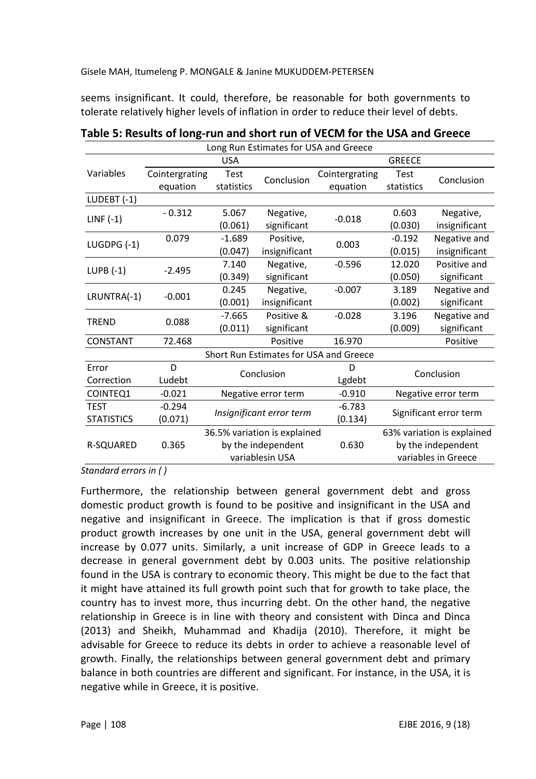seems insignificant. It could, therefore, be reasonable for both governments to tolerate relatively higher levels of inflation in order to reduce their level of debts.

| Long Run Estimates for USA and Greece |                |                                                                       |                     |                                        |                            |               |  |
|---------------------------------------|----------------|-----------------------------------------------------------------------|---------------------|----------------------------------------|----------------------------|---------------|--|
|                                       |                | <b>USA</b>                                                            |                     | <b>GREECE</b>                          |                            |               |  |
| Variables                             | Cointergrating | <b>Test</b>                                                           | Conclusion          | Cointergrating                         | Test                       | Conclusion    |  |
|                                       | equation       | statistics                                                            |                     | equation                               | statistics                 |               |  |
| LUDEBT $(-1)$                         |                |                                                                       |                     |                                        |                            |               |  |
|                                       | $-0.312$       | 5.067                                                                 | Negative,           | $-0.018$                               | 0.603                      | Negative,     |  |
| $LINF(-1)$                            |                | (0.061)                                                               | significant         |                                        | (0.030)                    | insignificant |  |
| LUGDPG $(-1)$                         | 0.079          | $-1.689$                                                              | Positive,           | 0.003                                  | $-0.192$                   | Negative and  |  |
|                                       |                | (0.047)                                                               | insignificant       |                                        | (0.015)                    | insignificant |  |
| $LUPB(-1)$                            | $-2.495$       | 7.140                                                                 | Negative,           | $-0.596$                               | 12.020                     | Positive and  |  |
|                                       |                | (0.349)                                                               | significant         |                                        | (0.050)                    | significant   |  |
| LRUNTRA(-1)                           | $-0.001$       | 0.245                                                                 | Negative,           | $-0.007$                               | 3.189                      | Negative and  |  |
|                                       |                | (0.001)                                                               | insignificant       |                                        | (0.002)                    | significant   |  |
| TREND                                 | 0.088          | $-7.665$                                                              | Positive &          | $-0.028$                               | 3.196                      | Negative and  |  |
|                                       |                | (0.011)                                                               | significant         |                                        | (0.009)                    | significant   |  |
| CONSTANT                              | 72.468         |                                                                       | Positive            | 16.970                                 |                            | Positive      |  |
|                                       |                |                                                                       |                     | Short Run Estimates for USA and Greece |                            |               |  |
| Error                                 | D              |                                                                       | Conclusion          | D                                      | Conclusion                 |               |  |
| Correction                            | Ludebt         |                                                                       |                     | Lgdebt                                 |                            |               |  |
| COINTEQ1                              | $-0.021$       |                                                                       | Negative error term | $-0.910$                               | Negative error term        |               |  |
| <b>TEST</b>                           | $-0.294$       |                                                                       |                     | $-6.783$                               | Significant error term     |               |  |
| <b>STATISTICS</b>                     | (0.071)        | Insignificant error term                                              |                     | (0.134)                                |                            |               |  |
|                                       |                | 36.5% variation is explained<br>by the independent<br>variablesin USA |                     |                                        | 63% variation is explained |               |  |
| R-SQUARED                             | 0.365          |                                                                       |                     | 0.630                                  | by the independent         |               |  |
|                                       |                |                                                                       |                     |                                        | variables in Greece        |               |  |

**Table 5: Results of long-run and short run of VECM for the USA and Greece**

*Standard errors in ( )*

Furthermore, the relationship between general government debt and gross domestic product growth is found to be positive and insignificant in the USA and negative and insignificant in Greece. The implication is that if gross domestic product growth increases by one unit in the USA, general government debt will increase by 0.077 units. Similarly, a unit increase of GDP in Greece leads to a decrease in general government debt by 0.003 units. The positive relationship found in the USA is contrary to economic theory. This might be due to the fact that it might have attained its full growth point such that for growth to take place, the country has to invest more, thus incurring debt. On the other hand, the negative relationship in Greece is in line with theory and consistent with Dinca and Dinca (2013) and Sheikh, Muhammad and Khadija (2010). Therefore, it might be advisable for Greece to reduce its debts in order to achieve a reasonable level of growth. Finally, the relationships between general government debt and primary balance in both countries are different and significant. For instance, in the USA, it is negative while in Greece, it is positive.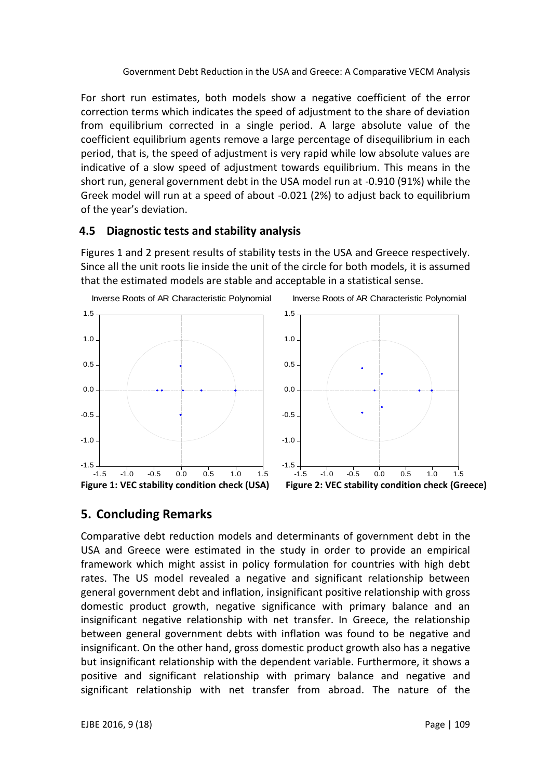For short run estimates, both models show a negative coefficient of the error correction terms which indicates the speed of adjustment to the share of deviation from equilibrium corrected in a single period. A large absolute value of the coefficient equilibrium agents remove a large percentage of disequilibrium in each period, that is, the speed of adjustment is very rapid while low absolute values are indicative of a slow speed of adjustment towards equilibrium. This means in the short run, general government debt in the USA model run at -0.910 (91%) while the Greek model will run at a speed of about -0.021 (2%) to adjust back to equilibrium of the year's deviation.

#### **4.5 Diagnostic tests and stability analysis**

Figures 1 and 2 present results of stability tests in the USA and Greece respectively. Since all the unit roots lie inside the unit of the circle for both models, it is assumed that the estimated models are stable and acceptable in a statistical sense.



# **5. Concluding Remarks**

Comparative debt reduction models and determinants of government debt in the USA and Greece were estimated in the study in order to provide an empirical framework which might assist in policy formulation for countries with high debt rates. The US model revealed a negative and significant relationship between general government debt and inflation, insignificant positive relationship with gross domestic product growth, negative significance with primary balance and an insignificant negative relationship with net transfer. In Greece, the relationship between general government debts with inflation was found to be negative and insignificant. On the other hand, gross domestic product growth also has a negative but insignificant relationship with the dependent variable. Furthermore, it shows a positive and significant relationship with primary balance and negative and significant relationship with net transfer from abroad. The nature of the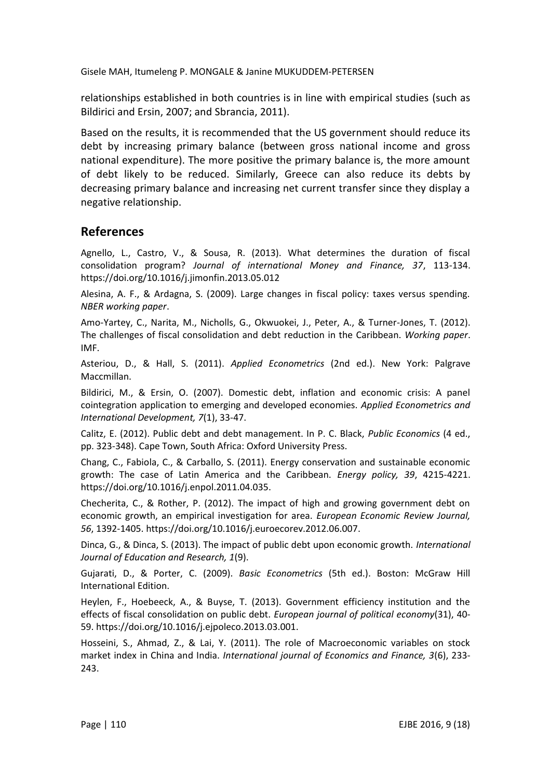relationships established in both countries is in line with empirical studies (such as Bildirici and Ersin, 2007; and Sbrancia, 2011).

Based on the results, it is recommended that the US government should reduce its debt by increasing primary balance (between gross national income and gross national expenditure). The more positive the primary balance is, the more amount of debt likely to be reduced. Similarly, Greece can also reduce its debts by decreasing primary balance and increasing net current transfer since they display a negative relationship.

## **References**

Agnello, L., Castro, V., & Sousa, R. (2013). What determines the duration of fiscal consolidation program? *Journal of international Money and Finance, 37*, 113-134. <https://doi.org/10.1016/j.jimonfin.2013.05.012>

Alesina, A. F., & Ardagna, S. (2009). Large changes in fiscal policy: taxes versus spending. *NBER working paper*.

Amo-Yartey, C., Narita, M., Nicholls, G., Okwuokei, J., Peter, A., & Turner-Jones, T. (2012). The challenges of fiscal consolidation and debt reduction in the Caribbean. *Working paper*. IMF.

Asteriou, D., & Hall, S. (2011). *Applied Econometrics* (2nd ed.). New York: Palgrave Maccmillan.

Bildirici, M., & Ersin, O. (2007). Domestic debt, inflation and economic crisis: A panel cointegration application to emerging and developed economies. *Applied Econometrics and International Development, 7*(1), 33-47.

Calitz, E. (2012). Public debt and debt management. In P. C. Black, *Public Economics* (4 ed., pp. 323-348). Cape Town, South Africa: Oxford University Press.

Chang, C., Fabiola, C., & Carballo, S. (2011). Energy conservation and sustainable economic growth: The case of Latin America and the Caribbean. *Energy policy, 39*, 4215-4221. [https://doi.org/10.1016/j.enpol.2011.04.035.](https://doi.org/10.1016/j.enpol.2011.04.035)

Checherita, C., & Rother, P. (2012). The impact of high and growing government debt on economic growth, an empirical investigation for area. *European Economic Review Journal, 56*, 1392-1405. [https://doi.org/10.1016/j.euroecorev.2012.06.007.](https://doi.org/10.1016/j.euroecorev.2012.06.007)

Dinca, G., & Dinca, S. (2013). The impact of public debt upon economic growth. *International Journal of Education and Research, 1*(9).

Gujarati, D., & Porter, C. (2009). *Basic Econometrics* (5th ed.). Boston: McGraw Hill International Edition.

Heylen, F., Hoebeeck, A., & Buyse, T. (2013). Government efficiency institution and the effects of fiscal consolidation on public debt. *European journal of political economy*(31), 40- 59. [https://doi.org/10.1016/j.ejpoleco.2013.03.001.](https://doi.org/10.1016/j.ejpoleco.2013.03.001)

Hosseini, S., Ahmad, Z., & Lai, Y. (2011). The role of Macroeconomic variables on stock market index in China and India. *International journal of Economics and Finance, 3*(6), 233- 243.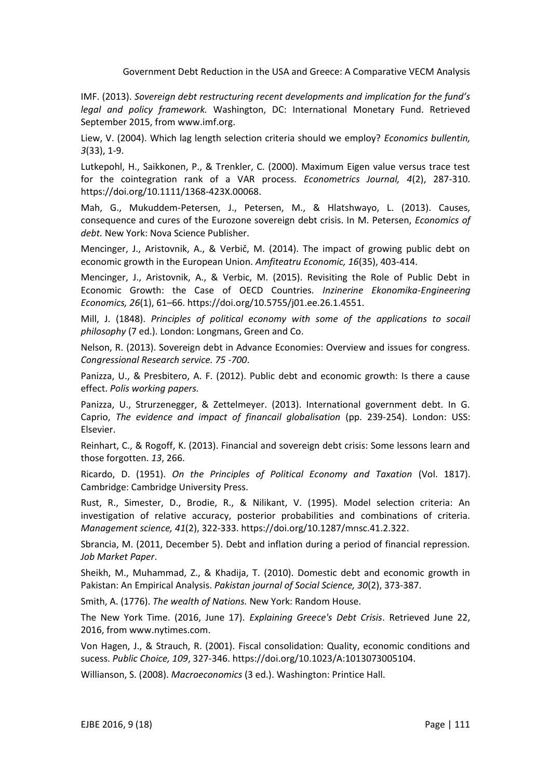IMF. (2013). *Sovereign debt restructuring recent developments and implication for the fund's legal and policy framework.* Washington, DC: International Monetary Fund. Retrieved September 2015, from www.imf.org.

Liew, V. (2004). Which lag length selection criteria should we employ? *Economics bullentin, 3*(33), 1-9.

Lutkepohl, H., Saikkonen, P., & Trenkler, C. (2000). Maximum Eigen value versus trace test for the cointegration rank of a VAR process. *Econometrics Journal, 4*(2), 287-310. [https://doi.org/10.1111/1368-423X.00068.](https://doi.org/10.1111/1368-423X.00068)

Mah, G., Mukuddem-Petersen, J., Petersen, M., & Hlatshwayo, L. (2013). Causes, consequence and cures of the Eurozone sovereign debt crisis. In M. Petersen, *Economics of debt.* New York: Nova Science Publisher.

Mencinger, J., Aristovnik, A., & Verbič, M. (2014). The impact of growing public debt on economic growth in the European Union. *Amfiteatru Economic, 16*(35), 403-414.

Mencinger, J., Aristovnik, A., & Verbic, M. (2015). Revisiting the Role of Public Debt in Economic Growth: the Case of OECD Countries. *Inzinerine Ekonomika-Engineering Economics, 26*(1), 61–66. [https://doi.org/10.5755/j01.ee.26.1.4551.](https://doi.org/10.5755/j01.ee.26.1.4551)

Mill, J. (1848). *Principles of political economy with some of the applications to socail philosophy* (7 ed.). London: Longmans, Green and Co.

Nelson, R. (2013). Sovereign debt in Advance Economies: Overview and issues for congress. *Congressional Research service. 75 -700*.

Panizza, U., & Presbitero, A. F. (2012). Public debt and economic growth: Is there a cause effect. *Polis working papers.*

Panizza, U., Strurzenegger, & Zettelmeyer. (2013). International government debt. In G. Caprio, *The evidence and impact of financail globalisation* (pp. 239-254). London: USS: Elsevier.

Reinhart, C., & Rogoff, K. (2013). Financial and sovereign debt crisis: Some lessons learn and those forgotten. *13*, 266.

Ricardo, D. (1951). *On the Principles of Political Economy and Taxation* (Vol. 1817). Cambridge: Cambridge University Press.

Rust, R., Simester, D., Brodie, R., & Nilikant, V. (1995). Model selection criteria: An investigation of relative accuracy, posterior probabilities and combinations of criteria. *Management science, 41*(2), 322-333. [https://doi.org/10.1287/mnsc.41.2.322.](https://doi.org/10.1287/mnsc.41.2.322)

Sbrancia, M. (2011, December 5). Debt and inflation during a period of financial repression. *Job Market Paper*.

Sheikh, M., Muhammad, Z., & Khadija, T. (2010). Domestic debt and economic growth in Pakistan: An Empirical Analysis. *Pakistan journal of Social Science, 30*(2), 373-387.

Smith, A. (1776). *The wealth of Nations.* New York: Random House.

The New York Time. (2016, June 17). *Explaining Greece's Debt Crisis*. Retrieved June 22, 2016, from www.nytimes.com.

Von Hagen, J., & Strauch, R. (2001). Fiscal consolidation: Quality, economic conditions and sucess. *Public Choice, 109*, 327-346. [https://doi.org/10.1023/A:1013073005104.](https://doi.org/10.1023/A:1013073005104)

Willianson, S. (2008). *Macroeconomics* (3 ed.). Washington: Printice Hall.